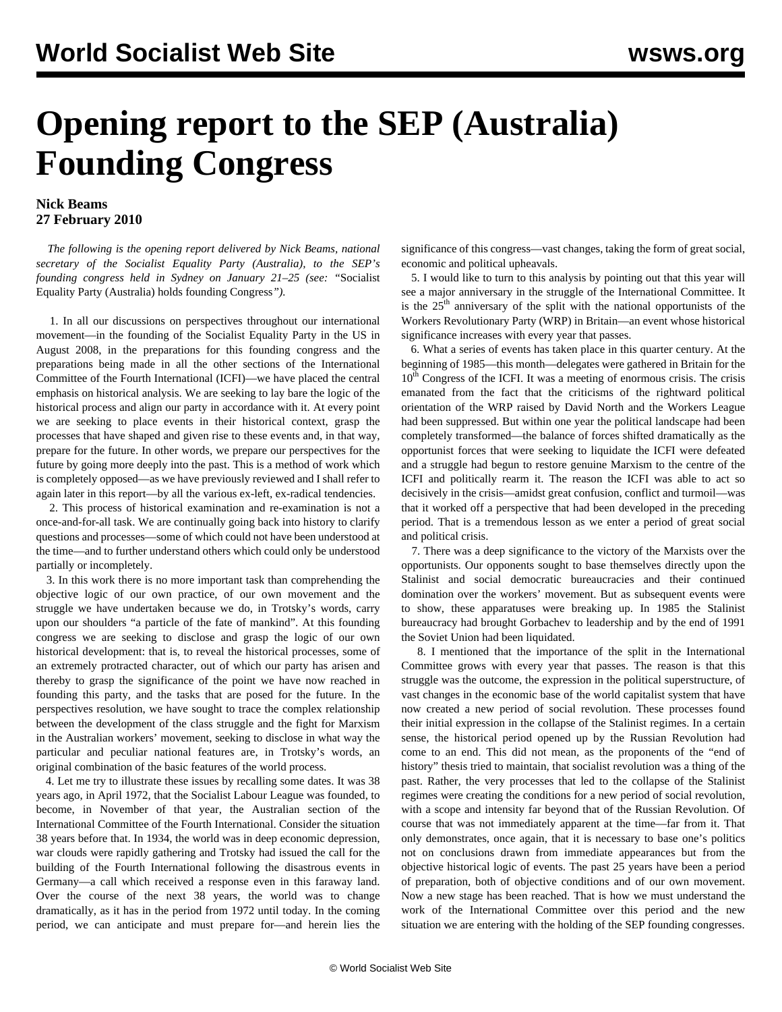## **Opening report to the SEP (Australia) Founding Congress**

## **Nick Beams 27 February 2010**

 *The following is the opening report delivered by Nick Beams, national secretary of the Socialist Equality Party (Australia), to the SEP's founding congress held in Sydney on January 21–25 (see: "*[Socialist](/en/articles/2010/feb2010/sepc-f24.shtml) [Equality Party \(Australia\) holds founding Congress](/en/articles/2010/feb2010/sepc-f24.shtml)*").*

 1. In all our discussions on perspectives throughout our international movement—in the founding of the Socialist Equality Party in the US in August 2008, in the preparations for this founding congress and the preparations being made in all the other sections of the International Committee of the Fourth International (ICFI)—we have placed the central emphasis on historical analysis. We are seeking to lay bare the logic of the historical process and align our party in accordance with it. At every point we are seeking to place events in their historical context, grasp the processes that have shaped and given rise to these events and, in that way, prepare for the future. In other words, we prepare our perspectives for the future by going more deeply into the past. This is a method of work which is completely opposed—as we have previously reviewed and I shall refer to again later in this report—by all the various ex-left, ex-radical tendencies.

 2. This process of historical examination and re-examination is not a once-and-for-all task. We are continually going back into history to clarify questions and processes—some of which could not have been understood at the time—and to further understand others which could only be understood partially or incompletely.

 3. In this work there is no more important task than comprehending the objective logic of our own practice, of our own movement and the struggle we have undertaken because we do, in Trotsky's words, carry upon our shoulders "a particle of the fate of mankind". At this founding congress we are seeking to disclose and grasp the logic of our own historical development: that is, to reveal the historical processes, some of an extremely protracted character, out of which our party has arisen and thereby to grasp the significance of the point we have now reached in founding this party, and the tasks that are posed for the future. In the perspectives resolution, we have sought to trace the complex relationship between the development of the class struggle and the fight for Marxism in the Australian workers' movement, seeking to disclose in what way the particular and peculiar national features are, in Trotsky's words, an original combination of the basic features of the world process.

 4. Let me try to illustrate these issues by recalling some dates. It was 38 years ago, in April 1972, that the Socialist Labour League was founded, to become, in November of that year, the Australian section of the International Committee of the Fourth International. Consider the situation 38 years before that. In 1934, the world was in deep economic depression, war clouds were rapidly gathering and Trotsky had issued the call for the building of the Fourth International following the disastrous events in Germany—a call which received a response even in this faraway land. Over the course of the next 38 years, the world was to change dramatically, as it has in the period from 1972 until today. In the coming period, we can anticipate and must prepare for—and herein lies the

significance of this congress—vast changes, taking the form of great social, economic and political upheavals.

 5. I would like to turn to this analysis by pointing out that this year will see a major anniversary in the struggle of the International Committee. It is the  $25<sup>th</sup>$  anniversary of the split with the national opportunists of the Workers Revolutionary Party (WRP) in Britain—an event whose historical significance increases with every year that passes.

 6. What a series of events has taken place in this quarter century. At the beginning of 1985—this month—delegates were gathered in Britain for the  $10<sup>th</sup>$  Congress of the ICFI. It was a meeting of enormous crisis. The crisis emanated from the fact that the criticisms of the rightward political orientation of the WRP raised by David North and the Workers League had been suppressed. But within one year the political landscape had been completely transformed—the balance of forces shifted dramatically as the opportunist forces that were seeking to liquidate the ICFI were defeated and a struggle had begun to restore genuine Marxism to the centre of the ICFI and politically rearm it. The reason the ICFI was able to act so decisively in the crisis—amidst great confusion, conflict and turmoil—was that it worked off a perspective that had been developed in the preceding period. That is a tremendous lesson as we enter a period of great social and political crisis.

 7. There was a deep significance to the victory of the Marxists over the opportunists. Our opponents sought to base themselves directly upon the Stalinist and social democratic bureaucracies and their continued domination over the workers' movement. But as subsequent events were to show, these apparatuses were breaking up. In 1985 the Stalinist bureaucracy had brought Gorbachev to leadership and by the end of 1991 the Soviet Union had been liquidated.

 8. I mentioned that the importance of the split in the International Committee grows with every year that passes. The reason is that this struggle was the outcome, the expression in the political superstructure, of vast changes in the economic base of the world capitalist system that have now created a new period of social revolution. These processes found their initial expression in the collapse of the Stalinist regimes. In a certain sense, the historical period opened up by the Russian Revolution had come to an end. This did not mean, as the proponents of the "end of history" thesis tried to maintain, that socialist revolution was a thing of the past. Rather, the very processes that led to the collapse of the Stalinist regimes were creating the conditions for a new period of social revolution, with a scope and intensity far beyond that of the Russian Revolution. Of course that was not immediately apparent at the time—far from it. That only demonstrates, once again, that it is necessary to base one's politics not on conclusions drawn from immediate appearances but from the objective historical logic of events. The past 25 years have been a period of preparation, both of objective conditions and of our own movement. Now a new stage has been reached. That is how we must understand the work of the International Committee over this period and the new situation we are entering with the holding of the SEP founding congresses.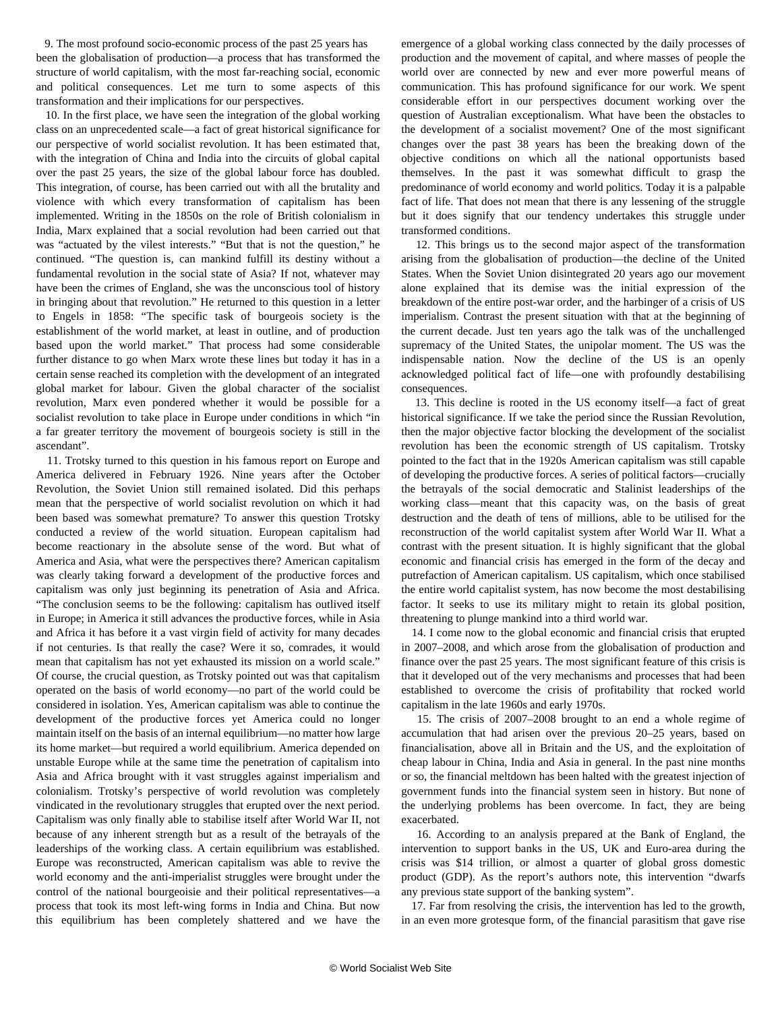9. The most profound socio-economic process of the past 25 years has been the globalisation of production—a process that has transformed the structure of world capitalism, with the most far-reaching social, economic and political consequences. Let me turn to some aspects of this transformation and their implications for our perspectives.

 10. In the first place, we have seen the integration of the global working class on an unprecedented scale—a fact of great historical significance for our perspective of world socialist revolution. It has been estimated that, with the integration of China and India into the circuits of global capital over the past 25 years, the size of the global labour force has doubled. This integration, of course, has been carried out with all the brutality and violence with which every transformation of capitalism has been implemented. Writing in the 1850s on the role of British colonialism in India, Marx explained that a social revolution had been carried out that was "actuated by the vilest interests." "But that is not the question," he continued. "The question is, can mankind fulfill its destiny without a fundamental revolution in the social state of Asia? If not, whatever may have been the crimes of England, she was the unconscious tool of history in bringing about that revolution." He returned to this question in a letter to Engels in 1858: "The specific task of bourgeois society is the establishment of the world market, at least in outline, and of production based upon the world market." That process had some considerable further distance to go when Marx wrote these lines but today it has in a certain sense reached its completion with the development of an integrated global market for labour. Given the global character of the socialist revolution, Marx even pondered whether it would be possible for a socialist revolution to take place in Europe under conditions in which "in a far greater territory the movement of bourgeois society is still in the ascendant".

 11. Trotsky turned to this question in his famous report on Europe and America delivered in February 1926. Nine years after the October Revolution, the Soviet Union still remained isolated. Did this perhaps mean that the perspective of world socialist revolution on which it had been based was somewhat premature? To answer this question Trotsky conducted a review of the world situation. European capitalism had become reactionary in the absolute sense of the word. But what of America and Asia, what were the perspectives there? American capitalism was clearly taking forward a development of the productive forces and capitalism was only just beginning its penetration of Asia and Africa. "The conclusion seems to be the following: capitalism has outlived itself in Europe; in America it still advances the productive forces, while in Asia and Africa it has before it a vast virgin field of activity for many decades if not centuries. Is that really the case? Were it so, comrades, it would mean that capitalism has not yet exhausted its mission on a world scale." Of course, the crucial question, as Trotsky pointed out was that capitalism operated on the basis of world economy—no part of the world could be considered in isolation. Yes, American capitalism was able to continue the development of the productive forces yet America could no longer maintain itself on the basis of an internal equilibrium—no matter how large its home market—but required a world equilibrium. America depended on unstable Europe while at the same time the penetration of capitalism into Asia and Africa brought with it vast struggles against imperialism and colonialism. Trotsky's perspective of world revolution was completely vindicated in the revolutionary struggles that erupted over the next period. Capitalism was only finally able to stabilise itself after World War II, not because of any inherent strength but as a result of the betrayals of the leaderships of the working class. A certain equilibrium was established. Europe was reconstructed, American capitalism was able to revive the world economy and the anti-imperialist struggles were brought under the control of the national bourgeoisie and their political representatives—a process that took its most left-wing forms in India and China. But now this equilibrium has been completely shattered and we have the

emergence of a global working class connected by the daily processes of production and the movement of capital, and where masses of people the world over are connected by new and ever more powerful means of communication. This has profound significance for our work. We spent considerable effort in our perspectives document working over the question of Australian exceptionalism. What have been the obstacles to the development of a socialist movement? One of the most significant changes over the past 38 years has been the breaking down of the objective conditions on which all the national opportunists based themselves. In the past it was somewhat difficult to grasp the predominance of world economy and world politics. Today it is a palpable fact of life. That does not mean that there is any lessening of the struggle but it does signify that our tendency undertakes this struggle under transformed conditions.

 12. This brings us to the second major aspect of the transformation arising from the globalisation of production—the decline of the United States. When the Soviet Union disintegrated 20 years ago our movement alone explained that its demise was the initial expression of the breakdown of the entire post-war order, and the harbinger of a crisis of US imperialism. Contrast the present situation with that at the beginning of the current decade. Just ten years ago the talk was of the unchallenged supremacy of the United States, the unipolar moment. The US was the indispensable nation. Now the decline of the US is an openly acknowledged political fact of life—one with profoundly destabilising consequences.

 13. This decline is rooted in the US economy itself—a fact of great historical significance. If we take the period since the Russian Revolution, then the major objective factor blocking the development of the socialist revolution has been the economic strength of US capitalism. Trotsky pointed to the fact that in the 1920s American capitalism was still capable of developing the productive forces. A series of political factors—crucially the betrayals of the social democratic and Stalinist leaderships of the working class—meant that this capacity was, on the basis of great destruction and the death of tens of millions, able to be utilised for the reconstruction of the world capitalist system after World War II. What a contrast with the present situation. It is highly significant that the global economic and financial crisis has emerged in the form of the decay and putrefaction of American capitalism. US capitalism, which once stabilised the entire world capitalist system, has now become the most destabilising factor. It seeks to use its military might to retain its global position, threatening to plunge mankind into a third world war.

 14. I come now to the global economic and financial crisis that erupted in 2007–2008, and which arose from the globalisation of production and finance over the past 25 years. The most significant feature of this crisis is that it developed out of the very mechanisms and processes that had been established to overcome the crisis of profitability that rocked world capitalism in the late 1960s and early 1970s.

 15. The crisis of 2007–2008 brought to an end a whole regime of accumulation that had arisen over the previous 20–25 years, based on financialisation, above all in Britain and the US, and the exploitation of cheap labour in China, India and Asia in general. In the past nine months or so, the financial meltdown has been halted with the greatest injection of government funds into the financial system seen in history. But none of the underlying problems has been overcome. In fact, they are being exacerbated.

 16. According to an analysis prepared at the Bank of England, the intervention to support banks in the US, UK and Euro-area during the crisis was \$14 trillion, or almost a quarter of global gross domestic product (GDP). As the report's authors note, this intervention "dwarfs any previous state support of the banking system".

 17. Far from resolving the crisis, the intervention has led to the growth, in an even more grotesque form, of the financial parasitism that gave rise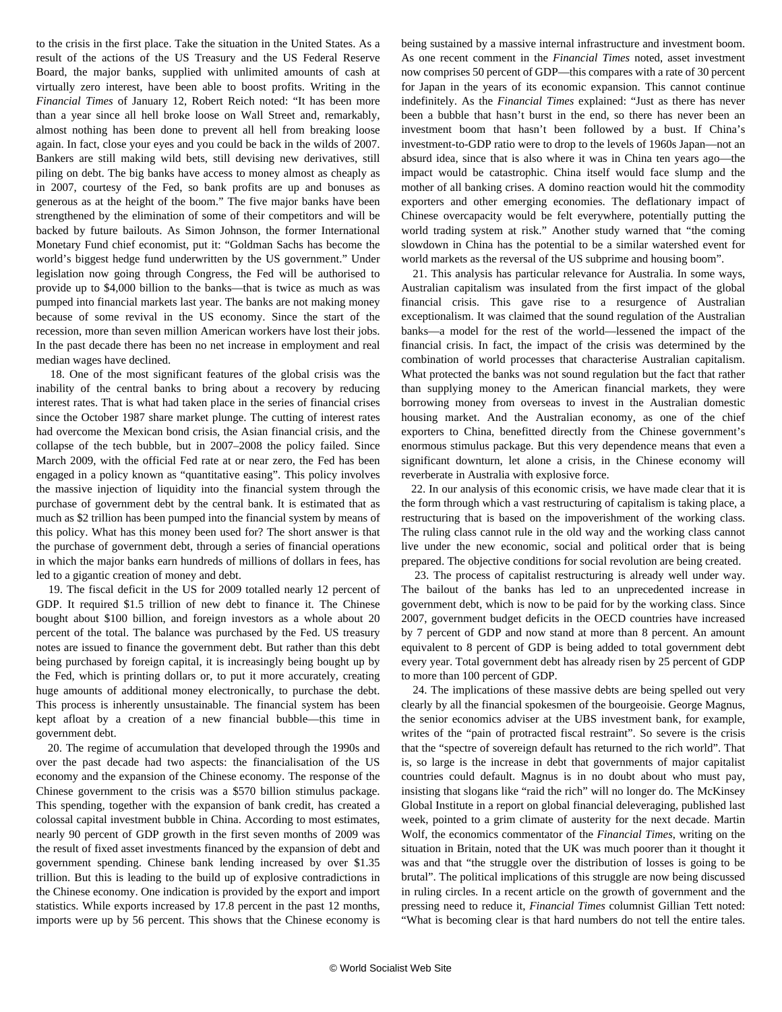to the crisis in the first place. Take the situation in the United States. As a result of the actions of the US Treasury and the US Federal Reserve Board, the major banks, supplied with unlimited amounts of cash at virtually zero interest, have been able to boost profits. Writing in the *Financial Times* of January 12, Robert Reich noted: "It has been more than a year since all hell broke loose on Wall Street and, remarkably, almost nothing has been done to prevent all hell from breaking loose again. In fact, close your eyes and you could be back in the wilds of 2007. Bankers are still making wild bets, still devising new derivatives, still piling on debt. The big banks have access to money almost as cheaply as in 2007, courtesy of the Fed, so bank profits are up and bonuses as generous as at the height of the boom." The five major banks have been strengthened by the elimination of some of their competitors and will be backed by future bailouts. As Simon Johnson, the former International Monetary Fund chief economist, put it: "Goldman Sachs has become the world's biggest hedge fund underwritten by the US government." Under legislation now going through Congress, the Fed will be authorised to provide up to \$4,000 billion to the banks—that is twice as much as was pumped into financial markets last year. The banks are not making money because of some revival in the US economy. Since the start of the recession, more than seven million American workers have lost their jobs. In the past decade there has been no net increase in employment and real median wages have declined.

 18. One of the most significant features of the global crisis was the inability of the central banks to bring about a recovery by reducing interest rates. That is what had taken place in the series of financial crises since the October 1987 share market plunge. The cutting of interest rates had overcome the Mexican bond crisis, the Asian financial crisis, and the collapse of the tech bubble, but in 2007–2008 the policy failed. Since March 2009, with the official Fed rate at or near zero, the Fed has been engaged in a policy known as "quantitative easing". This policy involves the massive injection of liquidity into the financial system through the purchase of government debt by the central bank. It is estimated that as much as \$2 trillion has been pumped into the financial system by means of this policy. What has this money been used for? The short answer is that the purchase of government debt, through a series of financial operations in which the major banks earn hundreds of millions of dollars in fees, has led to a gigantic creation of money and debt.

 19. The fiscal deficit in the US for 2009 totalled nearly 12 percent of GDP. It required \$1.5 trillion of new debt to finance it. The Chinese bought about \$100 billion, and foreign investors as a whole about 20 percent of the total. The balance was purchased by the Fed. US treasury notes are issued to finance the government debt. But rather than this debt being purchased by foreign capital, it is increasingly being bought up by the Fed, which is printing dollars or, to put it more accurately, creating huge amounts of additional money electronically, to purchase the debt. This process is inherently unsustainable. The financial system has been kept afloat by a creation of a new financial bubble—this time in government debt.

 20. The regime of accumulation that developed through the 1990s and over the past decade had two aspects: the financialisation of the US economy and the expansion of the Chinese economy. The response of the Chinese government to the crisis was a \$570 billion stimulus package. This spending, together with the expansion of bank credit, has created a colossal capital investment bubble in China. According to most estimates, nearly 90 percent of GDP growth in the first seven months of 2009 was the result of fixed asset investments financed by the expansion of debt and government spending. Chinese bank lending increased by over \$1.35 trillion. But this is leading to the build up of explosive contradictions in the Chinese economy. One indication is provided by the export and import statistics. While exports increased by 17.8 percent in the past 12 months, imports were up by 56 percent. This shows that the Chinese economy is

being sustained by a massive internal infrastructure and investment boom. As one recent comment in the *Financial Times* noted, asset investment now comprises 50 percent of GDP—this compares with a rate of 30 percent for Japan in the years of its economic expansion. This cannot continue indefinitely. As the *Financial Times* explained: "Just as there has never been a bubble that hasn't burst in the end, so there has never been an investment boom that hasn't been followed by a bust. If China's investment-to-GDP ratio were to drop to the levels of 1960s Japan—not an absurd idea, since that is also where it was in China ten years ago—the impact would be catastrophic. China itself would face slump and the mother of all banking crises. A domino reaction would hit the commodity exporters and other emerging economies. The deflationary impact of Chinese overcapacity would be felt everywhere, potentially putting the world trading system at risk." Another study warned that "the coming slowdown in China has the potential to be a similar watershed event for world markets as the reversal of the US subprime and housing boom".

 21. This analysis has particular relevance for Australia. In some ways, Australian capitalism was insulated from the first impact of the global financial crisis. This gave rise to a resurgence of Australian exceptionalism. It was claimed that the sound regulation of the Australian banks—a model for the rest of the world—lessened the impact of the financial crisis. In fact, the impact of the crisis was determined by the combination of world processes that characterise Australian capitalism. What protected the banks was not sound regulation but the fact that rather than supplying money to the American financial markets, they were borrowing money from overseas to invest in the Australian domestic housing market. And the Australian economy, as one of the chief exporters to China, benefitted directly from the Chinese government's enormous stimulus package. But this very dependence means that even a significant downturn, let alone a crisis, in the Chinese economy will reverberate in Australia with explosive force.

 22. In our analysis of this economic crisis, we have made clear that it is the form through which a vast restructuring of capitalism is taking place, a restructuring that is based on the impoverishment of the working class. The ruling class cannot rule in the old way and the working class cannot live under the new economic, social and political order that is being prepared. The objective conditions for social revolution are being created.

 23. The process of capitalist restructuring is already well under way. The bailout of the banks has led to an unprecedented increase in government debt, which is now to be paid for by the working class. Since 2007, government budget deficits in the OECD countries have increased by 7 percent of GDP and now stand at more than 8 percent. An amount equivalent to 8 percent of GDP is being added to total government debt every year. Total government debt has already risen by 25 percent of GDP to more than 100 percent of GDP.

 24. The implications of these massive debts are being spelled out very clearly by all the financial spokesmen of the bourgeoisie. George Magnus, the senior economics adviser at the UBS investment bank, for example, writes of the "pain of protracted fiscal restraint". So severe is the crisis that the "spectre of sovereign default has returned to the rich world". That is, so large is the increase in debt that governments of major capitalist countries could default. Magnus is in no doubt about who must pay, insisting that slogans like "raid the rich" will no longer do. The McKinsey Global Institute in a report on global financial deleveraging, published last week, pointed to a grim climate of austerity for the next decade. Martin Wolf, the economics commentator of the *Financial Times*, writing on the situation in Britain, noted that the UK was much poorer than it thought it was and that "the struggle over the distribution of losses is going to be brutal". The political implications of this struggle are now being discussed in ruling circles. In a recent article on the growth of government and the pressing need to reduce it, *Financial Times* columnist Gillian Tett noted: "What is becoming clear is that hard numbers do not tell the entire tales.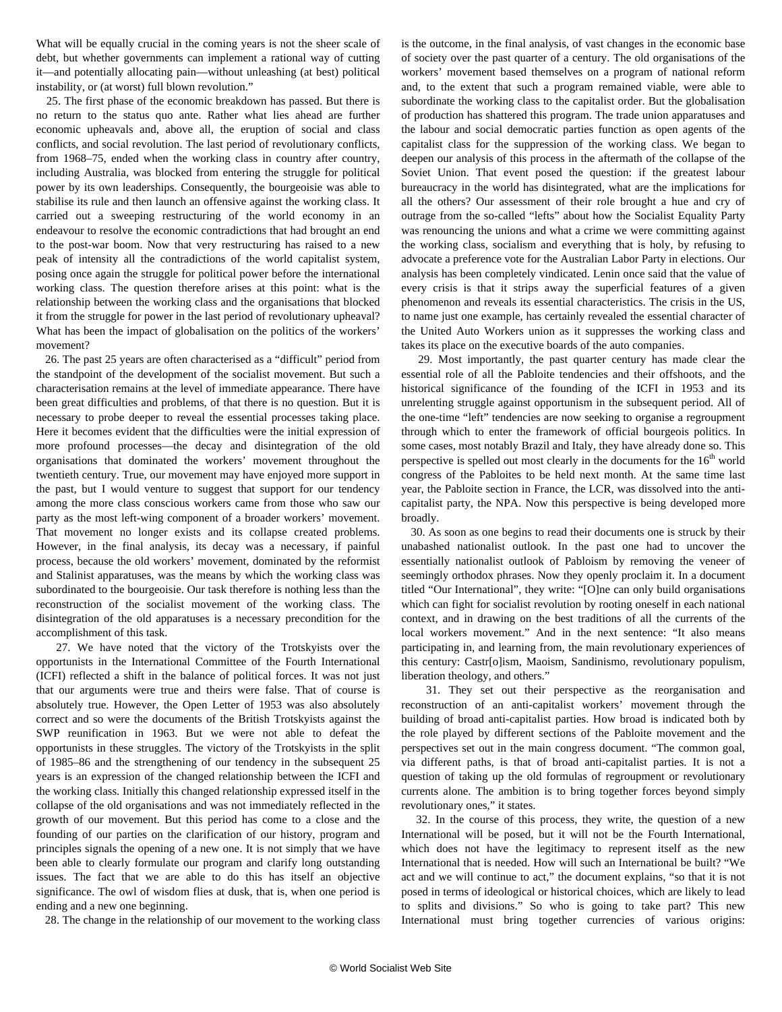What will be equally crucial in the coming years is not the sheer scale of debt, but whether governments can implement a rational way of cutting it—and potentially allocating pain—without unleashing (at best) political instability, or (at worst) full blown revolution."

 25. The first phase of the economic breakdown has passed. But there is no return to the status quo ante. Rather what lies ahead are further economic upheavals and, above all, the eruption of social and class conflicts, and social revolution. The last period of revolutionary conflicts, from 1968–75, ended when the working class in country after country, including Australia, was blocked from entering the struggle for political power by its own leaderships. Consequently, the bourgeoisie was able to stabilise its rule and then launch an offensive against the working class. It carried out a sweeping restructuring of the world economy in an endeavour to resolve the economic contradictions that had brought an end to the post-war boom. Now that very restructuring has raised to a new peak of intensity all the contradictions of the world capitalist system, posing once again the struggle for political power before the international working class. The question therefore arises at this point: what is the relationship between the working class and the organisations that blocked it from the struggle for power in the last period of revolutionary upheaval? What has been the impact of globalisation on the politics of the workers' movement?

 26. The past 25 years are often characterised as a "difficult" period from the standpoint of the development of the socialist movement. But such a characterisation remains at the level of immediate appearance. There have been great difficulties and problems, of that there is no question. But it is necessary to probe deeper to reveal the essential processes taking place. Here it becomes evident that the difficulties were the initial expression of more profound processes—the decay and disintegration of the old organisations that dominated the workers' movement throughout the twentieth century. True, our movement may have enjoyed more support in the past, but I would venture to suggest that support for our tendency among the more class conscious workers came from those who saw our party as the most left-wing component of a broader workers' movement. That movement no longer exists and its collapse created problems. However, in the final analysis, its decay was a necessary, if painful process, because the old workers' movement, dominated by the reformist and Stalinist apparatuses, was the means by which the working class was subordinated to the bourgeoisie. Our task therefore is nothing less than the reconstruction of the socialist movement of the working class. The disintegration of the old apparatuses is a necessary precondition for the accomplishment of this task.

 27. We have noted that the victory of the Trotskyists over the opportunists in the International Committee of the Fourth International (ICFI) reflected a shift in the balance of political forces. It was not just that our arguments were true and theirs were false. That of course is absolutely true. However, the Open Letter of 1953 was also absolutely correct and so were the documents of the British Trotskyists against the SWP reunification in 1963. But we were not able to defeat the opportunists in these struggles. The victory of the Trotskyists in the split of 1985–86 and the strengthening of our tendency in the subsequent 25 years is an expression of the changed relationship between the ICFI and the working class. Initially this changed relationship expressed itself in the collapse of the old organisations and was not immediately reflected in the growth of our movement. But this period has come to a close and the founding of our parties on the clarification of our history, program and principles signals the opening of a new one. It is not simply that we have been able to clearly formulate our program and clarify long outstanding issues. The fact that we are able to do this has itself an objective significance. The owl of wisdom flies at dusk, that is, when one period is ending and a new one beginning.

28. The change in the relationship of our movement to the working class

is the outcome, in the final analysis, of vast changes in the economic base of society over the past quarter of a century. The old organisations of the workers' movement based themselves on a program of national reform and, to the extent that such a program remained viable, were able to subordinate the working class to the capitalist order. But the globalisation of production has shattered this program. The trade union apparatuses and the labour and social democratic parties function as open agents of the capitalist class for the suppression of the working class. We began to deepen our analysis of this process in the aftermath of the collapse of the Soviet Union. That event posed the question: if the greatest labour bureaucracy in the world has disintegrated, what are the implications for all the others? Our assessment of their role brought a hue and cry of outrage from the so-called "lefts" about how the Socialist Equality Party was renouncing the unions and what a crime we were committing against the working class, socialism and everything that is holy, by refusing to advocate a preference vote for the Australian Labor Party in elections. Our analysis has been completely vindicated. Lenin once said that the value of every crisis is that it strips away the superficial features of a given phenomenon and reveals its essential characteristics. The crisis in the US, to name just one example, has certainly revealed the essential character of the United Auto Workers union as it suppresses the working class and takes its place on the executive boards of the auto companies.

 29. Most importantly, the past quarter century has made clear the essential role of all the Pabloite tendencies and their offshoots, and the historical significance of the founding of the ICFI in 1953 and its unrelenting struggle against opportunism in the subsequent period. All of the one-time "left" tendencies are now seeking to organise a regroupment through which to enter the framework of official bourgeois politics. In some cases, most notably Brazil and Italy, they have already done so. This perspective is spelled out most clearly in the documents for the  $16<sup>th</sup>$  world congress of the Pabloites to be held next month. At the same time last year, the Pabloite section in France, the LCR, was dissolved into the anticapitalist party, the NPA. Now this perspective is being developed more broadly.

 30. As soon as one begins to read their documents one is struck by their unabashed nationalist outlook. In the past one had to uncover the essentially nationalist outlook of Pabloism by removing the veneer of seemingly orthodox phrases. Now they openly proclaim it. In a document titled "Our International", they write: "[O]ne can only build organisations which can fight for socialist revolution by rooting oneself in each national context, and in drawing on the best traditions of all the currents of the local workers movement." And in the next sentence: "It also means participating in, and learning from, the main revolutionary experiences of this century: Castr[o]ism, Maoism, Sandinismo, revolutionary populism, liberation theology, and others."

 31. They set out their perspective as the reorganisation and reconstruction of an anti-capitalist workers' movement through the building of broad anti-capitalist parties. How broad is indicated both by the role played by different sections of the Pabloite movement and the perspectives set out in the main congress document. "The common goal, via different paths, is that of broad anti-capitalist parties. It is not a question of taking up the old formulas of regroupment or revolutionary currents alone. The ambition is to bring together forces beyond simply revolutionary ones," it states.

 32. In the course of this process, they write, the question of a new International will be posed, but it will not be the Fourth International, which does not have the legitimacy to represent itself as the new International that is needed. How will such an International be built? "We act and we will continue to act," the document explains, "so that it is not posed in terms of ideological or historical choices, which are likely to lead to splits and divisions." So who is going to take part? This new International must bring together currencies of various origins: